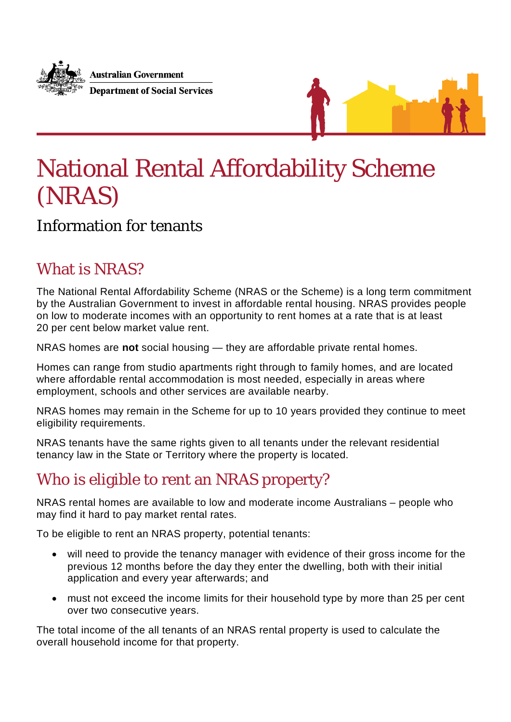



# National Rental Affordability Scheme (NRAS)

### Information for tenants

## What is NRAS?

The National Rental Affordability Scheme (NRAS or the Scheme) is a long term commitment by the Australian Government to invest in affordable rental housing. NRAS provides people on low to moderate incomes with an opportunity to rent homes at a rate that is at least 20 per cent below market value rent.

NRAS homes are **not** social housing — they are affordable private rental homes.

Homes can range from studio apartments right through to family homes, and are located where affordable rental accommodation is most needed, especially in areas where employment, schools and other services are available nearby.

NRAS homes may remain in the Scheme for up to 10 years provided they continue to meet eligibility requirements.

NRAS tenants have the same rights given to all tenants under the relevant residential tenancy law in the State or Territory where the property is located.

# Who is eligible to rent an NRAS property?

NRAS rental homes are available to low and moderate income Australians – people who may find it hard to pay market rental rates.

To be eligible to rent an NRAS property, potential tenants:

- will need to provide the tenancy manager with evidence of their gross income for the previous 12 months before the day they enter the dwelling, both with their initial application and every year afterwards; and
- must not exceed the income limits for their household type by more than 25 per cent over two consecutive years.

The total income of the all tenants of an NRAS rental property is used to calculate the overall household income for that property.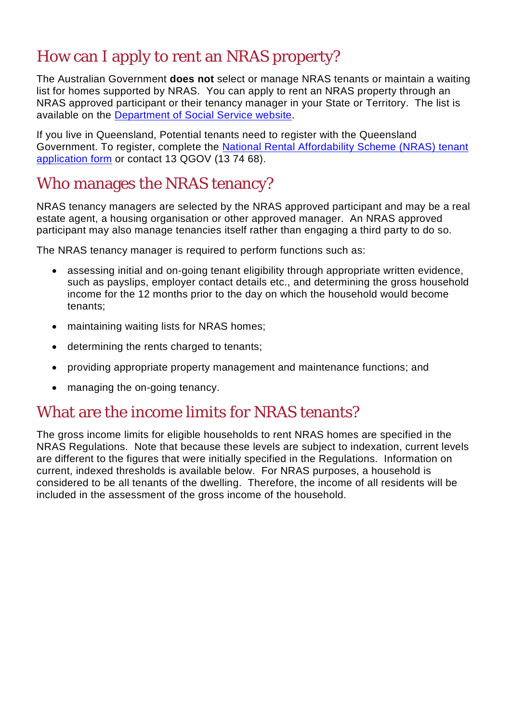# How can I apply to rent an NRAS property?

The Australian Government **does not** select or manage NRAS tenants or maintain a waiting list for homes supported by NRAS. You can apply to rent an NRAS property through an NRAS approved participant or their tenancy manager in your State or Territory. The list is available on the [Department of Social Service website.](https://www.dss.gov.au/our-responsibilities/housing-support/programs-services/national-rental-affordability-scheme/nras-tenancy-managers)

If you live in Queensland, Potential tenants need to register with the Queensland Government. To register, complete the [National Rental Affordability Scheme \(NRAS\) tenant](https://www.hpw.qld.gov.au/nras/)  [application form](https://www.hpw.qld.gov.au/nras/) or contact 13 QGOV (13 74 68).

## Who manages the NRAS tenancy?

NRAS tenancy managers are selected by the NRAS approved participant and may be a real estate agent, a housing organisation or other approved manager. An NRAS approved participant may also manage tenancies itself rather than engaging a third party to do so.

The NRAS tenancy manager is required to perform functions such as:

- assessing initial and on-going tenant eligibility through appropriate written evidence, such as payslips, employer contact details etc., and determining the gross household income for the 12 months prior to the day on which the household would become tenants;
- maintaining waiting lists for NRAS homes:
- determining the rents charged to tenants;
- providing appropriate property management and maintenance functions; and
- managing the on-going tenancy.

### What are the income limits for NRAS tenants?

The gross income limits for eligible households to rent NRAS homes are specified in the NRAS Regulations. Note that because these levels are subject to indexation, current levels are different to the figures that were initially specified in the Regulations. Information on current, indexed thresholds is available below. For NRAS purposes, a household is considered to be all tenants of the dwelling. Therefore, the income of all residents will be included in the assessment of the gross income of the household.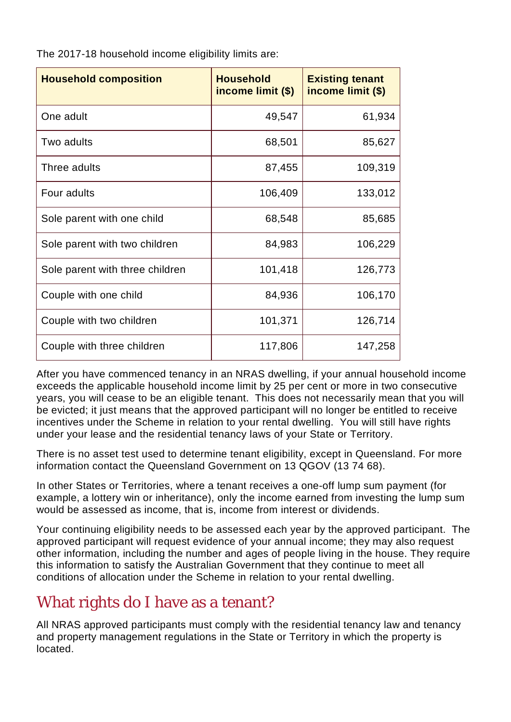| The 2017-18 household income eligibility limits are: |  |  |
|------------------------------------------------------|--|--|
|------------------------------------------------------|--|--|

| <b>Household composition</b>    | <b>Household</b><br>income limit (\$) | <b>Existing tenant</b><br>income limit (\$) |
|---------------------------------|---------------------------------------|---------------------------------------------|
| One adult                       | 49,547                                | 61,934                                      |
| Two adults                      | 68,501                                | 85,627                                      |
| Three adults                    | 87,455                                | 109,319                                     |
| Four adults                     | 106,409                               | 133,012                                     |
| Sole parent with one child      | 68,548                                | 85,685                                      |
| Sole parent with two children   | 84,983                                | 106,229                                     |
| Sole parent with three children | 101,418                               | 126,773                                     |
| Couple with one child           | 84,936                                | 106,170                                     |
| Couple with two children        | 101,371                               | 126,714                                     |
| Couple with three children      | 117,806                               | 147,258                                     |

After you have commenced tenancy in an NRAS dwelling, if your annual household income exceeds the applicable household income limit by 25 per cent or more in two consecutive years, you will cease to be an eligible tenant. This does not necessarily mean that you will be evicted; it just means that the approved participant will no longer be entitled to receive incentives under the Scheme in relation to your rental dwelling. You will still have rights under your lease and the residential tenancy laws of your State or Territory.

There is no asset test used to determine tenant eligibility, except in Queensland. For more information contact the Queensland Government on 13 QGOV (13 74 68).

In other States or Territories, where a tenant receives a one-off lump sum payment (for example, a lottery win or inheritance), only the income earned from investing the lump sum would be assessed as income, that is, income from interest or dividends.

Your continuing eligibility needs to be assessed each year by the approved participant. The approved participant will request evidence of your annual income; they may also request other information, including the number and ages of people living in the house. They require this information to satisfy the Australian Government that they continue to meet all conditions of allocation under the Scheme in relation to your rental dwelling.

## What rights do I have as a tenant?

All NRAS approved participants must comply with the residential tenancy law and tenancy and property management regulations in the State or Territory in which the property is located.